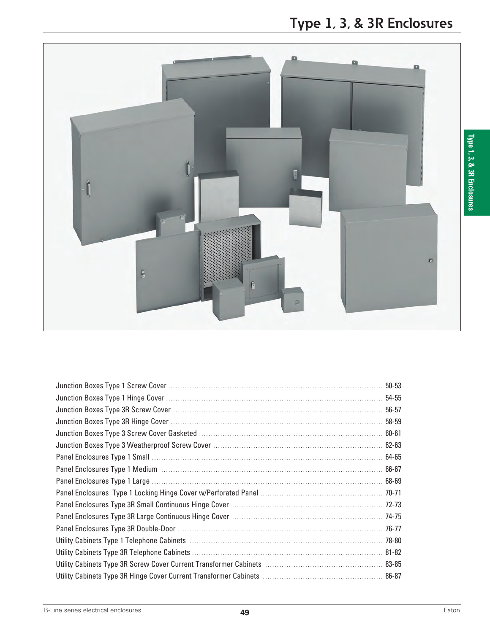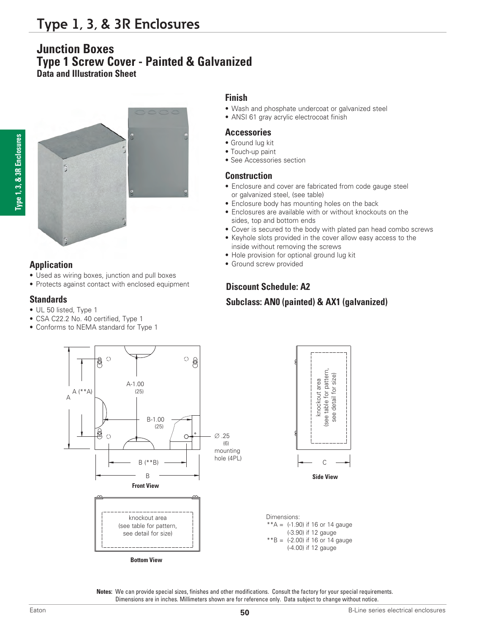## **Junction Boxes Type 1 Screw Cover - Painted & Galvanized Data and Illustration Sheet**



## **Application**

- Used as wiring boxes, junction and pull boxes
- Protects against contact with enclosed equipment

## **Standards**

- UL 50 listed, Type 1
- CSA C22.2 No. 40 certified, Type 1
- Conforms to NEMA standard for Type 1

## **Finish**

- Wash and phosphate undercoat or galvanized steel
- ANSI 61 gray acrylic electrocoat finish

#### **Accessories**

- Ground lug kit
- Touch-up paint
- See Accessories section

#### **Construction**

- Enclosure and cover are fabricated from code gauge steel or galvanized steel, (see table)
- Enclosure body has mounting holes on the back
- Enclosures are available with or without knockouts on the sides, top and bottom ends
- Cover is secured to the body with plated pan head combo screws
- Keyhole slots provided in the cover allow easy access to the inside without removing the screws
- Hole provision for optional ground lug kit
- Ground screw provided

## **Discount Schedule: A2**

## **Subclass: AN0 (painted) & AX1 (galvanized)**



**Notes:** We can provide special sizes, finishes and other modifications. Consult the factory for your special requirements. Dimensions are in inches. Millimeters shown are for reference only. Data subject to change without notice.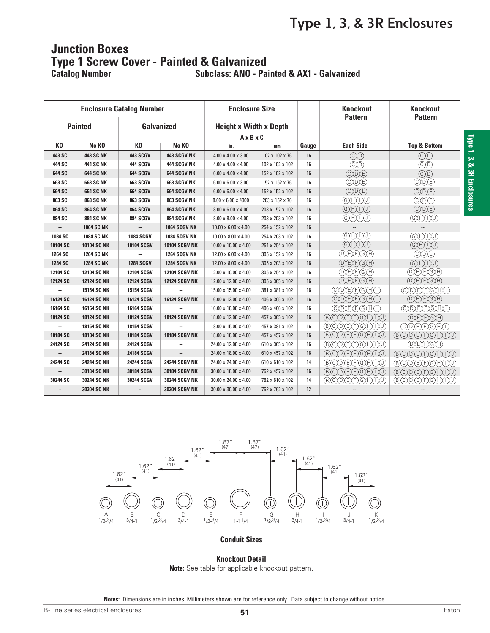## **Junction Boxes Type 1 Screw Cover - Painted & Galvanized**<br>Catalog Number Subclass: ANO - Pa **Catalog Number Subclass: ANO - Painted & AX1 - Galvanized**

| <b>Enclosure Catalog Number</b>     |                    |                          | <b>Enclosure Size</b>         |                                                    |                 | <b>Knockout</b><br><b>Pattern</b> | <b>Knockout</b><br><b>Pattern</b>                                 |                                                    |  |
|-------------------------------------|--------------------|--------------------------|-------------------------------|----------------------------------------------------|-----------------|-----------------------------------|-------------------------------------------------------------------|----------------------------------------------------|--|
| <b>Painted</b><br><b>Galvanized</b> |                    |                          | <b>Height x Width x Depth</b> |                                                    |                 |                                   |                                                                   |                                                    |  |
|                                     |                    |                          |                               | $A \times B \times C$                              |                 |                                   |                                                                   |                                                    |  |
| K <sub>0</sub>                      | No KO              | KO                       | No KO                         | Gauge<br>in.<br>mm                                 |                 |                                   | <b>Each Side</b>                                                  | <b>Top &amp; Bottom</b>                            |  |
| 443 SC                              | <b>443 SC NK</b>   | <b>443 SCGV</b>          | <b>443 SCGV NK</b>            | $4.00 \times 4.00 \times 3.00$<br>102 x 102 x 76   |                 | 16                                | $\mathbb{C}(\mathbb{D})$                                          | $\circled{c}$                                      |  |
| 444 SC                              | <b>444 SC NK</b>   | <b>444 SCGV</b>          | <b>444 SCGV NK</b>            | $4.00 \times 4.00 \times 4.00$                     | 102 x 102 x 102 | 16                                | $\odot$ <sup>O</sup>                                              | $\circledcirc$                                     |  |
| 644 SC                              | <b>644 SC NK</b>   | <b>644 SCGV</b>          | <b>644 SCGV NK</b>            | $6.00 \times 4.00 \times 4.00$                     | 152 x 102 x 102 | 16                                | COO                                                               | $\circled{c}$                                      |  |
| 663 SC                              | <b>663 SC NK</b>   | <b>663 SCGV</b>          | <b>663 SCGV NK</b>            | $6.00 \times 6.00 \times 3.00$                     | 152 x 152 x 76  | 16                                | CDE)                                                              | <b>CDE</b>                                         |  |
| 664 SC                              | <b>664 SC NK</b>   | <b>664 SCGV</b>          | <b>664 SCGV NK</b>            | $6.00 \times 6.00 \times 4.00$                     | 152 x 152 x 102 | 16                                | COC <sub>D</sub>                                                  | COC                                                |  |
| 863 SC                              | <b>863 SC NK</b>   | <b>863 SCGV</b>          | <b>863 SCGV NK</b>            | $8.00 \times 6.00 \times 4300$                     | 203 x 152 x 76  | 16                                | $\left(\bigcirc\left(\bigcirc\right)\left(\bigcirc\right)\right)$ | <b>COE</b>                                         |  |
| 864 SC                              | <b>864 SC NK</b>   | <b>864 SCGV</b>          | 864 SCGV NK                   | $8.00 \times 6.00 \times 4.00$                     | 203 x 152 x 102 | 16                                | $@$ $H$ $O$                                                       | <b>CDE</b>                                         |  |
| 884 SC                              | <b>884 SC NK</b>   | <b>884 SCGV</b>          | 884 SCGV NK                   | $8.00 \times 8.00 \times 4.00$                     | 203 x 203 x 102 | 16                                | GHAD                                                              | GAND                                               |  |
| $\overline{\phantom{a}}$            | <b>1064 SC NK</b>  | $\overline{\phantom{a}}$ | <b>1064 SCGV NK</b>           | $10.00 \times 6.00 \times 4.00$<br>254 x 152 x 102 |                 | 16                                | $\overline{a}$                                                    |                                                    |  |
| 1084 SC                             | <b>1084 SC NK</b>  | <b>1084 SCGV</b>         | <b>1084 SCGV NK</b>           | 10.00 x 8.00 x 4.00<br>254 x 203 x 102             |                 | 16                                | $\overline{G(H)}\overline{H})$                                    | $\mathbb{G}(\mathbb{H}(\mathbb{I})(\mathbb{I}))$   |  |
| 10104 SC                            | <b>10104 SC NK</b> | 10104 SCGV               | <b>10104 SCGV NK</b>          | 10.00 x 10.00 x 4.00<br>254 x 254 x 102            |                 | 16                                | $\bigcircledR\oplus\bigcirc$                                      | G(H)(I)                                            |  |
| 1264 SC                             | <b>1264 SC NK</b>  |                          | <b>1264 SCGV NK</b>           | 12.00 x 6.00 x 4.00                                | 305 x 152 x 102 | 16                                | <b>DEFIGH</b>                                                     | <b>COE</b>                                         |  |
| 1284 SC                             | <b>1284 SC NK</b>  | <b>1284 SCGV</b>         | <b>1284 SCGV NK</b>           | 12.00 x 8.00 x 4.00<br>305 x 203 x 102             |                 | 16                                | <b>DEJFIGH</b>                                                    | $\bigoplus(\bigoplus(\bigoplus(\bigcap(\bigodot))$ |  |
| 12104 SC                            | <b>12104 SC NK</b> | 12104 SCGV               | <b>12104 SCGV NK</b>          | 12.00 x 10.00 x 4.00<br>305 x 254 x 102            |                 | 16                                | <b>DECEGA</b>                                                     | <b>DEEGH</b>                                       |  |
| 12124 SC                            | <b>12124 SC NK</b> | <b>12124 SCGV</b>        | <b>12124 SCGV NK</b>          | 12.00 x 12.00 x 4.00<br>305 x 305 x 102            |                 | 16                                | <b>DEFGH</b>                                                      | $(D)E)F)G$ $(H)$                                   |  |
|                                     | <b>15154 SC NK</b> | <b>15154 SCGV</b>        |                               | 15.00 x 15.00 x 4.00<br>381 x 381 x 102            |                 | 16                                | COEFOHO                                                           | COEFIGAD                                           |  |
| 16124 SC                            | 16124 SC NK        | 16124 SCGV               | <b>16124 SCGV NK</b>          | 16.00 x 12.00 x 4.00                               | 406 x 305 x 102 | 16                                | COEEOHO                                                           | <b>DEEGH</b>                                       |  |
| 16164 SC                            | 16164 SC NK        | 16164 SCGV               |                               | 16.00 x 16.00 x 4.00                               | 406 x 406 x 102 | 16                                | COEFGAD                                                           | COEFIGHO                                           |  |
| 18124 SC                            | <b>18124 SC NK</b> | 18124 SCGV               | <b>18124 SCGV NK</b>          | 18.00 x 12.00 x 4.00                               | 457 x 305 x 102 | 16                                | BCDEFGHU                                                          | <b>DECEGA</b>                                      |  |
|                                     | <b>18154 SC NK</b> | 18154 SCGV               |                               | 18.00 x 15.00 x 4.00                               | 457 x 381 x 102 | 16                                | BODEFGHUO                                                         | COEFIGHO                                           |  |
| 18184 SC                            | <b>18184 SC NK</b> | 18184 SCGV               | <b>18184 SCGV NK</b>          | 18.00 x 18.00 x 4.00<br>457 x 457 x 102            |                 | 16                                | BCOEFGH00                                                         | BCODE(F)G(H)(I)                                    |  |
| 24124 SC                            | <b>24124 SC NK</b> | 24124 SCGV               | --                            | 24.00 x 12.00 x 4.00<br>610 x 305 x 102            |                 | 16                                | BCDEFGHUD                                                         | <b>DEFGA</b>                                       |  |
| --                                  | <b>24184 SC NK</b> | 24184 SCGV               | $\overline{\phantom{m}}$      | 24.00 x 18.00 x 4.00<br>610 x 457 x 102            |                 | 16                                | <b>BCDEFGHIO</b>                                                  | BCDEFGHU                                           |  |
| 24244 SC                            | <b>24244 SC NK</b> | 24244 SCGV               | <b>24244 SCGV NK</b>          | 24.00 x 24.00 x 4.00                               | 610 x 610 x 102 | 14                                | BCDEECHOO                                                         | BCDEFGHUD                                          |  |
|                                     | 30184 SC NK        | 30184 SCGV               | <b>30184 SCGV NK</b>          | 30.00 x 18.00 x 4.00                               | 762 x 457 x 102 | 16                                | <b>BCDEFGANO</b>                                                  | BCOEFGHU                                           |  |
| 30244 SC                            | 30244 SC NK        | 30244 SCGV               | <b>30244 SCGV NK</b>          | 30.00 x 24.00 x 4.00                               | 762 x 610 x 102 | 14                                | BODEFGHUO                                                         | BCDEEGH00                                          |  |
|                                     | 30304 SC NK        |                          | <b>30304 SCGV NK</b>          | 30.00 x 30.00 x 4.00                               | 762 x 762 x 102 | 12                                |                                                                   |                                                    |  |



#### **Conduit Sizes**

#### **Knockout Detail**

**Note:** See table for applicable knockout pattern.

**Notes:** Dimensions are in inches. Millimeters shown are for reference only. Data subject to change without notice.

**Type 1, 3, & 3R Enclosures**

Type 1, 3, & 3R Enclosures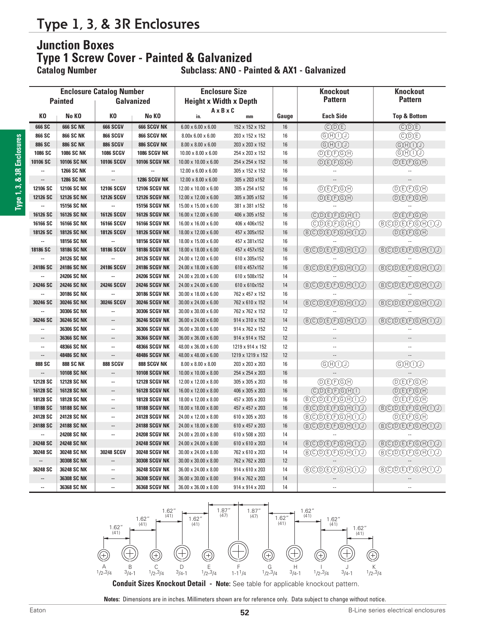## **Type 1, 3, & 3R Enclosures**

# **Junction Boxes Type 1 Screw Cover - Painted & Galvanized Catalog Number Cover - Painted & Galvanized**

**Catalog Number Subclass: ANO - Painted & AX1 - Galvanized**

| <b>Enclosure Catalog Number</b>     |                                          | <b>Enclosure Size</b>         |                                              |                                                                                    | <b>Knockout</b>                    | <b>Knockout</b> |                                                                                                  |                                                   |  |
|-------------------------------------|------------------------------------------|-------------------------------|----------------------------------------------|------------------------------------------------------------------------------------|------------------------------------|-----------------|--------------------------------------------------------------------------------------------------|---------------------------------------------------|--|
| <b>Galvanized</b><br><b>Painted</b> |                                          | <b>Height x Width x Depth</b> |                                              |                                                                                    | <b>Pattern</b>                     | <b>Pattern</b>  |                                                                                                  |                                                   |  |
| KO                                  | No KO                                    | K0                            | No KO                                        | AxBxC<br>in.                                                                       | mm                                 | Gauge           | <b>Each Side</b>                                                                                 | <b>Top &amp; Bottom</b>                           |  |
| 666 SC                              | <b>666 SC NK</b>                         | <b>666 SCGV</b>               | <b>666 SCGV NK</b>                           | 152 x 152 x 152<br>$6.00 \times 6.00 \times 6.00$                                  |                                    | 16              | $\overline{(\mathbb{C})(\mathbb{D})(\mathbb{E})}$                                                | $\overline{(\mathbb{C})(\mathbb{D})(\mathbb{E})}$ |  |
| 866 SC                              | <b>866 SC NK</b>                         | <b>866 SCGV</b>               | 866 SCGV NK                                  | 8.00x 6.00 x 6.00                                                                  | 203 x 152 x 152                    | 16              | @O()                                                                                             | $(\widehat{C})(\widehat{D})\widehat{E})$          |  |
| 886 SC                              | <b>886 SC NK</b>                         | <b>886 SCGV</b>               | 886 SCGV NK                                  | $8.00 \times 8.00 \times 6.00$<br>203 x 203 x 152                                  |                                    | 16              | $\bigodot\left( \widehat{H}\right) \bigodot\left( \widehat{H}\right)$                            | $\left(\widehat{G}(H)(1)\right)$                  |  |
| 1086 SC                             | <b>1086 SC NK</b>                        | <b>1086 SCGV</b>              | 1086 SCGV NK                                 | $10.00 \times 8.00 \times 6.00$                                                    | 254 x 203 x 152                    | 16              | <b>DEFIGH</b>                                                                                    | GHUD                                              |  |
| 10106 SC                            | 10106 SC NK                              | 10106 SCGV                    | <b>10106 SCGV NK</b>                         | 10.00 x 10.00 x 6.00                                                               | 254 x 254 x 152                    | 16              | <b>DEFGA</b>                                                                                     | <b>DEFIGH</b>                                     |  |
| --                                  | <b>1266 SC NK</b>                        | ä.                            |                                              | $12.00 \times 6.00 \times 6.00$                                                    | 305 x 152 x 152                    | 16              |                                                                                                  |                                                   |  |
| --                                  | <b>1286 SC NK</b>                        | $\overline{\phantom{a}}$      | 1286 SCGV NK                                 | $12.00 \times 8.00 \times 6.00$                                                    | 305 x 203 x 152                    | 16              |                                                                                                  |                                                   |  |
| 12106 SC                            | 12106 SC NK                              | <b>12106 SCGV</b>             | <b>12106 SCGV NK</b>                         | 12.00 x 10.00 x 6.00                                                               | 305 x 254 x 152                    | 16              | <b><i>OCECEGER</i></b>                                                                           | <b>DECFIGH</b>                                    |  |
| 12126 SC                            | 12126 SC NK                              | 12126 SCGV                    | <b>12126 SCGV NK</b>                         | 12.00 x 12.00 x 6.00                                                               | 305 x 305 x 152                    | 16              | (D) E) F) G) H)                                                                                  | (D) E) F) G) H)                                   |  |
|                                     | 15156 SC NK                              |                               | <b>15156 SCGV NK</b>                         | 15.00 x 15.00 x 6.00                                                               | 381 x 381 x 152                    | 16              |                                                                                                  |                                                   |  |
| 16126 SC                            | 16126 SC NK                              | 16126 SCGV                    | <b>16126 SCGV NK</b>                         | 16.00 x 12.00 x 6.00                                                               | 406 x 305 x 152                    | 16              | $\mathcal{O}(D)E/F)G(H)$                                                                         | (D) E) F) G) H)                                   |  |
| 16166 SC                            | 16166 SC NK                              | 16166 SCGV                    | <b>16166 SCGV NK</b>                         | 16.00 x 16.00 x 6.00                                                               | 406 x 406x152                      | 16              | COEFGAD                                                                                          | BCOEFGHU                                          |  |
| 18126 SC                            | <b>18126 SC NK</b>                       | <b>18126 SCGV</b>             | <b>18126 SCGV NK</b>                         | 18.00 x 12.00 x 6.00                                                               | 457 x 305x152                      | 16              | BCDEFGHU                                                                                         | <b>DEFIGH</b>                                     |  |
| u.                                  | <b>18156 SC NK</b>                       | ÷.                            | <b>18156 SCGV NK</b>                         | 18.00 x 15.00 x 6.00                                                               | 457 x 381x152                      | 16              |                                                                                                  |                                                   |  |
| 18186 SC                            | 18186 SC NK                              | 18186 SCGV                    | <b>18186 SCGV NK</b>                         | 18.00 x 18.00 x 6.00                                                               | 457 x 457x152                      | 16              | <b>BCODE(F)G(H)(T)</b>                                                                           | <b>BCODE(F)G(H)T)</b>                             |  |
|                                     | <b>24126 SC NK</b>                       |                               | <b>24126 SCGV NK</b>                         | 24.00 x 12.00 x 6.00<br>610 x 305x152                                              |                                    | 16              |                                                                                                  |                                                   |  |
| 24186 SC                            | 24186 SC NK                              | 24186 SCGV                    | <b>24186 SCGV NK</b>                         | 24.00 x 18.00 x 6.00<br>610 x 457x152                                              |                                    | 16              | BCDEFGHUD                                                                                        | BCDEFGHU                                          |  |
|                                     | 24206 SC NK                              |                               | <b>24206 SCGV NK</b>                         | 24.00 x 20.00 x 6.00<br>610 x 508x152                                              |                                    | 14              |                                                                                                  |                                                   |  |
| 24246 SC                            | 24246 SC NK                              | 24246 SCGV                    | <b>24246 SCGV NK</b>                         | 24.00 x 24.00 x 6.00                                                               | 610 x 610x152                      | 14              | (B)(C)(D)(E)(F)(G)(H)(I)(J)                                                                      | BCDEFGH00                                         |  |
|                                     | 30186 SC NK                              |                               | <b>30186 SCGV NK</b>                         | 30.00 x 18.00 x 6.00                                                               | 762 x 457 x 152                    | 16              |                                                                                                  |                                                   |  |
| 30246 SC                            | 30246 SC NK                              | 30246 SCGV                    | <b>30246 SCGV NK</b>                         | 30.00 x 24.00 x 6.00                                                               | 762 x 610 x 152                    | 14              | BCOEFGHU                                                                                         | BCOEFGH00                                         |  |
|                                     | 30306 SC NK                              | $\ddot{\phantom{a}}$          | 30306 SCGV NK                                | 30.00 x 30.00 x 6.00                                                               | 762 x 762 x 152                    | 12              |                                                                                                  |                                                   |  |
| 36246 SC                            | 36246 SC NK                              | $\overline{\phantom{a}}$      | <b>36246 SCGV NK</b>                         | 36.00 x 24.00 x 6.00                                                               | 914 x 310 x 152                    | 14              | BCOEFGH00                                                                                        | BCOEFGH00                                         |  |
| ä.                                  | 36306 SC NK                              | ٠.                            | 36306 SCGV NK                                | 36.00 x 30.00 x 6.00                                                               | 914 x 762 x 152                    | 12              |                                                                                                  |                                                   |  |
| --                                  | 36366 SC NK                              | $\cdots$                      | 36366 SCGV NK                                | 36.00 x 36.00 x 6.00<br>914 x 914 x 152                                            |                                    | 12              |                                                                                                  |                                                   |  |
| ۰.                                  | 48366 SC NK                              | --                            | <b>48366 SCGV NK</b>                         | 48.00 x 36.00 x 6.00<br>1219 x 914 x 152                                           |                                    | 12              | $\sim$                                                                                           |                                                   |  |
| $\overline{\phantom{a}}$            | 48486 SC NK                              | $\overline{a}$                | <b>48486 SCGV NK</b>                         | 48.00 x 48.00 x 6.00                                                               | 1219 x 1219 x 152                  | 12              |                                                                                                  |                                                   |  |
| 888 SC                              | <b>888 SC NK</b>                         | <b>888 SCGV</b><br>--         | <b>888 SCGV NK</b>                           | $8.00 \times 8.00 \times 8.00$                                                     | 203 x 203 x 203                    | 16<br>16        | GHOO                                                                                             | GAND                                              |  |
| 12128 SC                            | <b>10108 SC NK</b>                       |                               | <b>10108 SCGV NK</b>                         | 10.00 x 10.00 x 8.00                                                               | 254 x 254 x 203                    |                 |                                                                                                  |                                                   |  |
| 16128 SC                            | <b>12128 SC NK</b><br><b>16128 SC NK</b> | --                            | <b>12128 SCGV NK</b><br><b>16128 SCGV NK</b> | 12.00 x 12.00 x 8.00                                                               | 305 x 305 x 203                    | 16              | <b>DEFGA</b><br>$\overline{(\mathbb{C})\mathbb{D}(\mathbb{E})\mathbb{F})(\mathbb{G})\mathbb{H}}$ | <b>DEFIGH</b>                                     |  |
|                                     |                                          | --<br>٠.                      |                                              | 16.00 x 12.00 x 8.00                                                               | 406 x 305 x 203                    | 16              | BCOEFGH00                                                                                        | $(D)E)F)G$ $(H)$<br><b><i>OCEEGA</i></b>          |  |
| 18128 SC<br>18188 SC                | <b>18128 SC NK</b><br><b>18188 SC NK</b> | $\overline{\phantom{a}}$      | <b>18128 SCGV NK</b><br><b>18188 SCGV NK</b> | 18.00 x 12.00 x 8.00<br>18.00 x 18.00 x 8.00                                       | 457 x 305 x 203<br>457 x 457 x 203 | 16<br>16        | <b>BCDEFGHIO</b>                                                                                 | <b>BCDEFGHIO</b>                                  |  |
| 24128 SC                            | <b>24128 SC NK</b>                       | --                            | <b>24128 SCGV NK</b>                         | 24.00 x 12.00 x 8.00                                                               | 610 x 305 x 203                    | 16              | BODEFGH00                                                                                        | <b>OCEOH</b>                                      |  |
| 24188 SC                            | 24188 SC NK                              | $\overline{\phantom{a}}$      | <b>24188 SCGV NK</b>                         |                                                                                    |                                    | 16              | BCODE(F)G(H) TV                                                                                  | <b>BCDEFGHIO</b>                                  |  |
|                                     | <b>24208 SC NK</b>                       | Ξ.                            | <b>24208 SCGV NK</b>                         | 24.00 x 18.00 x 8.00<br>610 x 457 x 203<br>24.00 x 20.00 x 8.00<br>610 x 508 x 203 |                                    | 14              |                                                                                                  |                                                   |  |
| 24248 SC                            | <b>24248 SC NK</b>                       |                               | <b>24248 SCGV NK</b>                         | 24.00 x 24.00 x 8.00                                                               | 610 x 610 x 203                    | 14              | <b>BCODE(F)G(H)(T)</b>                                                                           | <b>BCDEFGHIO</b>                                  |  |
| 30248 SC                            | 30248 SC NK                              | 30248 SCGV                    | <b>30248 SCGV NK</b>                         | 30.00 x 24.00 x 8.00                                                               | 762 x 610 x 203                    | 14              | <b>BCDEFGHIO</b>                                                                                 |                                                   |  |
|                                     | 30308 SC NK                              | $\overline{\phantom{a}}$      | <b>30308 SCGV NK</b>                         | 30.00 x 30.00 x 8.00                                                               | 762 x 762 x 203                    | 12              |                                                                                                  | BODEFGHOO                                         |  |
| 36248 SC                            | 36248 SC NK                              | $\overline{\phantom{a}}$      | <b>36248 SCGV NK</b>                         | 36.00 x 24.00 x 8.00                                                               | 914 x 610 x 203                    | 14              | BCOEFGH00                                                                                        | BCOEFGH00                                         |  |
| --                                  | 36308 SC NK                              | $\overline{\phantom{a}}$      | <b>36308 SCGV NK</b>                         | 36.00 x 30.00 x 8.00                                                               | 914 x 762 x 203                    | 14              |                                                                                                  |                                                   |  |
| $\overline{\phantom{a}}$            | 36368 SC NK                              | $\mathbf{u}$                  | <b>36368 SCGV NK</b>                         | 36.00 x 36.00 x 8.00                                                               | 914 x 914 x 203                    | 14              | $\sim$                                                                                           | $\sim$                                            |  |



**Conduit Sizes Knockout Detail - Note:** See table for applicable knockout pattern.

**Notes:** Dimensions are in inches. Millimeters shown are for reference only. Data subject to change without notice.